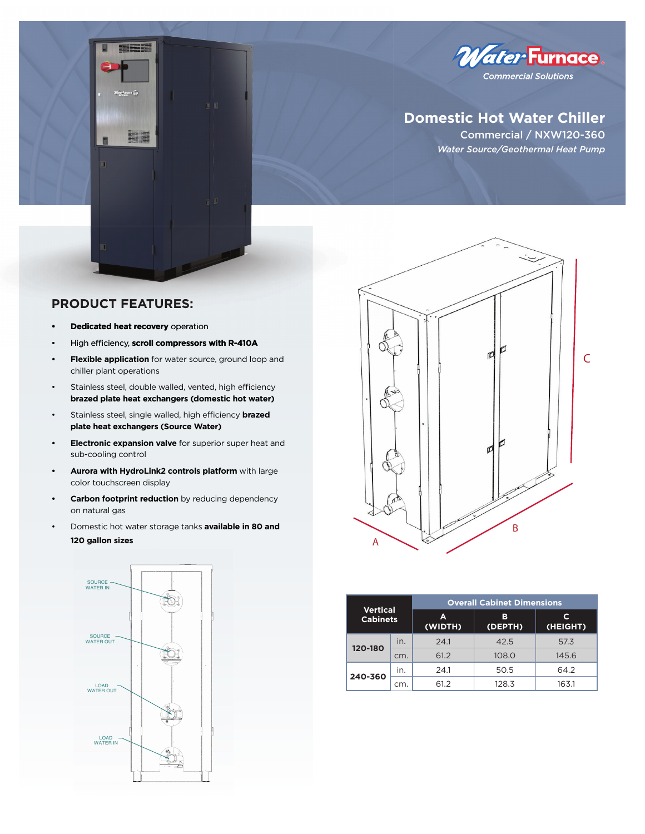

# **Domestic Hot Water Chiller**

Commercial / NXW120-360 *Water Source/Geothermal Heat Pump*

## **PRODUCT FEATURES:**

m

**• Dedicated heat recovery** operation **• recovery**

 $k$ 

E E

- High efficiency, scroll compressors with R-410A
- **Flexible application** for water source, ground loop and chiller plant operations
- Stainless steel, double walled, vented, high efficiency **brazed plate heat exchangers (domestic hot water)**
- Stainless steel, single walled, high efficiency **brazed plate heat exchangers (Source Water)**
- **Electronic expansion valve** for superior super heat and sub-cooling control
- **Aurora with HydroLink2 controls platform** with large color touchscreen display
- **Carbon footprint reduction** by reducing dependency on natural gas
- Domestic hot water storage tanks **available in 80 and 120 gallon sizes**





| <b>Vertical</b><br><b>Cabinets</b> |     | <b>Overall Cabinet Dimensions</b> |              |               |  |  |  |  |
|------------------------------------|-----|-----------------------------------|--------------|---------------|--|--|--|--|
|                                    |     | А<br>(WIDTH)                      | в<br>(DEPTH) | С<br>(HEIGHT) |  |  |  |  |
| 120-180                            | in. | 24.1                              | 42.5         | 57.3          |  |  |  |  |
|                                    | cm. | 61.2                              | 108.0        | 145.6         |  |  |  |  |
| 240-360                            | In. | 24.1                              | 50.5         | 64.2          |  |  |  |  |
|                                    | cm. | 61.2                              | 128.3        | 163.1         |  |  |  |  |